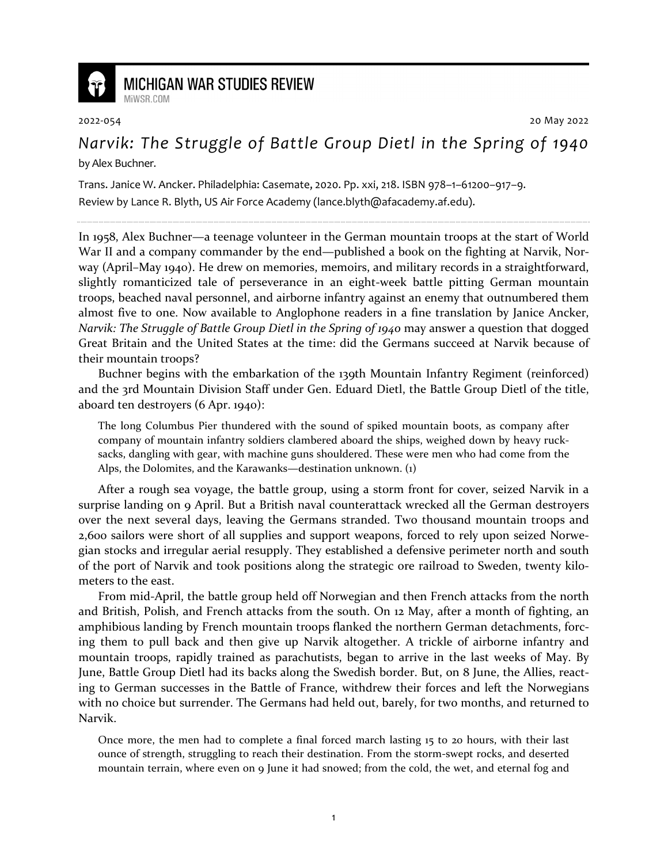

## **MICHIGAN WAR STUDIES REVIEW**

MiWSR COM

2022-054 20 May 2022

*Narvik: The Struggle of Battle Group Dietl in the Spring of 1940* by Alex Buchner.

Trans. Janice W. Ancker. Philadelphia: Casemate, 2020. Pp. xxi, 218. ISBN 978–1–61200–917–9. Review by Lance R. Blyth, US Air Force Academy (lance.blyth@afacademy.af.edu).

In 1958, Alex Buchner—a teenage volunteer in the German mountain troops at the start of World War II and a company commander by the end—published a book on the fighting at Narvik, Norway (April–May 1940). He drew on memories, memoirs, and military records in a straightforward, slightly romanticized tale of perseverance in an eight-week battle pitting German mountain troops, beached naval personnel, and airborne infantry against an enemy that outnumbered them almost five to one. Now available to Anglophone readers in a fine translation by Janice Ancker, *Narvik: The Struggle of Battle Group Dietl in the Spring of 1940* may answer a question that dogged Great Britain and the United States at the time: did the Germans succeed at Narvik because of their mountain troops?

Buchner begins with the embarkation of the 139th Mountain Infantry Regiment (reinforced) and the 3rd Mountain Division Staff under Gen. Eduard Dietl, the Battle Group Dietl of the title, aboard ten destroyers (6 Apr. 1940):

The long Columbus Pier thundered with the sound of spiked mountain boots, as company after company of mountain infantry soldiers clambered aboard the ships, weighed down by heavy rucksacks, dangling with gear, with machine guns shouldered. These were men who had come from the Alps, the Dolomites, and the Karawanks—destination unknown. (1)

After a rough sea voyage, the battle group, using a storm front for cover, seized Narvik in a surprise landing on 9 April. But a British naval counterattack wrecked all the German destroyers over the next several days, leaving the Germans stranded. Two thousand mountain troops and 2,600 sailors were short of all supplies and support weapons, forced to rely upon seized Norwegian stocks and irregular aerial resupply. They established a defensive perimeter north and south of the port of Narvik and took positions along the strategic ore railroad to Sweden, twenty kilometers to the east.

From mid-April, the battle group held off Norwegian and then French attacks from the north and British, Polish, and French attacks from the south. On 12 May, after a month of fighting, an amphibious landing by French mountain troops flanked the northern German detachments, forcing them to pull back and then give up Narvik altogether. A trickle of airborne infantry and mountain troops, rapidly trained as parachutists, began to arrive in the last weeks of May. By June, Battle Group Dietl had its backs along the Swedish border. But, on 8 June, the Allies, reacting to German successes in the Battle of France, withdrew their forces and left the Norwegians with no choice but surrender. The Germans had held out, barely, for two months, and returned to Narvik.

Once more, the men had to complete a final forced march lasting 15 to 20 hours, with their last ounce of strength, struggling to reach their destination. From the storm-swept rocks, and deserted mountain terrain, where even on 9 June it had snowed; from the cold, the wet, and eternal fog and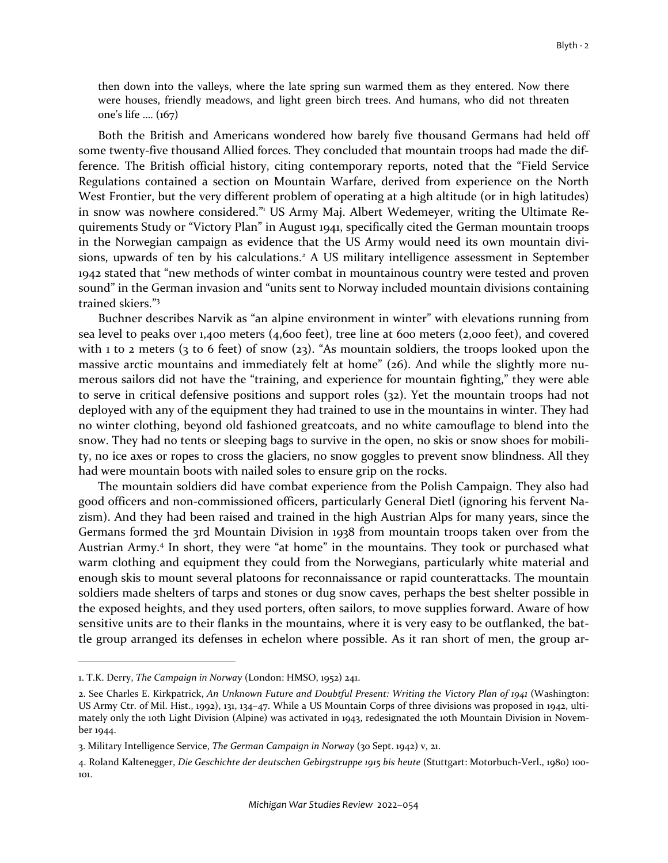then down into the valleys, where the late spring sun warmed them as they entered. Now there were houses, friendly meadows, and light green birch trees. And humans, who did not threaten one's life …. (167)

Both the British and Americans wondered how barely five thousand Germans had held off some twenty-five thousand Allied forces. They concluded that mountain troops had made the difference. The British official history, citing contemporary reports, noted that the "Field Service Regulations contained a section on Mountain Warfare, derived from experience on the North West Frontier, but the very different problem of operating at a high altitude (or in high latitudes) in snow was nowhere considered."<sup>1</sup> US Army Maj. Albert Wedemeyer, writing the Ultimate Requirements Study or "Victory Plan" in August 1941, specifically cited the German mountain troops in the Norwegian campaign as evidence that the US Army would need its own mountain divisions, upwards of ten by his calculations.<sup>2</sup> A US military intelligence assessment in September 1942 stated that "new methods of winter combat in mountainous country were tested and proven sound" in the German invasion and "units sent to Norway included mountain divisions containing trained skiers."<sup>3</sup>

Buchner describes Narvik as "an alpine environment in winter" with elevations running from sea level to peaks over 1,400 meters (4,600 feet), tree line at 600 meters (2,000 feet), and covered with 1 to 2 meters (3 to 6 feet) of snow (23). "As mountain soldiers, the troops looked upon the massive arctic mountains and immediately felt at home" (26). And while the slightly more numerous sailors did not have the "training, and experience for mountain fighting," they were able to serve in critical defensive positions and support roles (32). Yet the mountain troops had not deployed with any of the equipment they had trained to use in the mountains in winter. They had no winter clothing, beyond old fashioned greatcoats, and no white camouflage to blend into the snow. They had no tents or sleeping bags to survive in the open, no skis or snow shoes for mobility, no ice axes or ropes to cross the glaciers, no snow goggles to prevent snow blindness. All they had were mountain boots with nailed soles to ensure grip on the rocks.

The mountain soldiers did have combat experience from the Polish Campaign. They also had good officers and non-commissioned officers, particularly General Dietl (ignoring his fervent Nazism). And they had been raised and trained in the high Austrian Alps for many years, since the Germans formed the 3rd Mountain Division in 1938 from mountain troops taken over from the Austrian Army.<sup>4</sup> In short, they were "at home" in the mountains. They took or purchased what warm clothing and equipment they could from the Norwegians, particularly white material and enough skis to mount several platoons for reconnaissance or rapid counterattacks. The mountain soldiers made shelters of tarps and stones or dug snow caves, perhaps the best shelter possible in the exposed heights, and they used porters, often sailors, to move supplies forward. Aware of how sensitive units are to their flanks in the mountains, where it is very easy to be outflanked, the battle group arranged its defenses in echelon where possible. As it ran short of men, the group ar-

<sup>1.</sup> T.K. Derry, *The Campaign in Norway* (London: HMSO, 1952) 241.

<sup>2.</sup> See Charles E. Kirkpatrick, *An Unknown Future and Doubtful Present: Writing the Victory Plan of 1941* (Washington: US Army Ctr. of Mil. Hist., 1992), 131, 134–47. While a US Mountain Corps of three divisions was proposed in 1942, ultimately only the 10th Light Division (Alpine) was activated in 1943, redesignated the 10th Mountain Division in November 1944.

<sup>3.</sup> Military Intelligence Service, *The German Campaign in Norway* (30 Sept. 1942) v, 21.

<sup>4.</sup> Roland Kaltenegger, *Die Geschichte der deutschen Gebirgstruppe 1915 bis heute* (Stuttgart: Motorbuch-Verl., 1980) 100- 101.